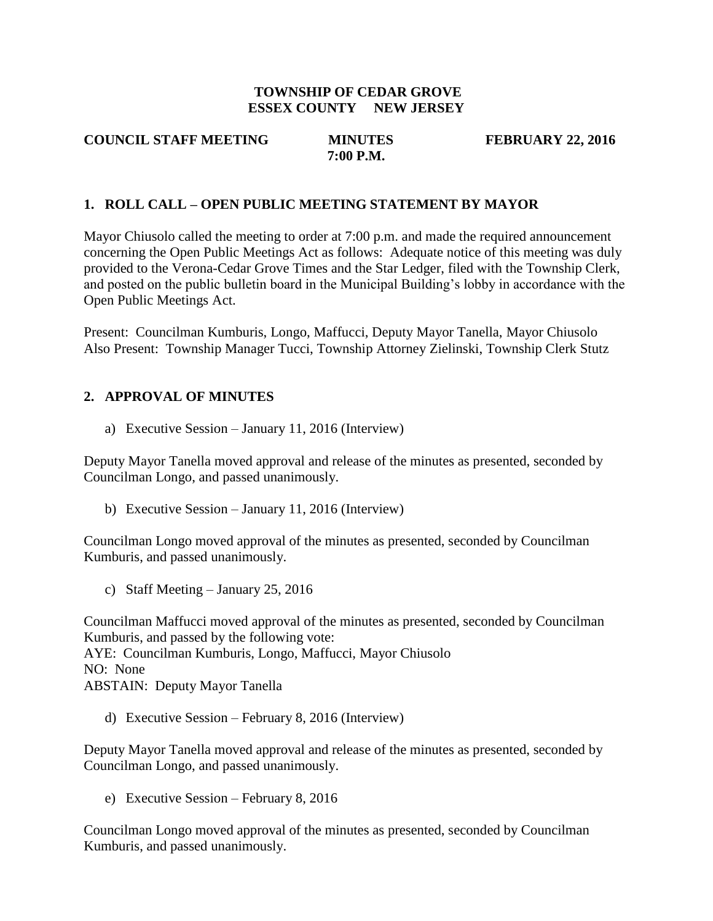### **TOWNSHIP OF CEDAR GROVE ESSEX COUNTY NEW JERSEY**

### **COUNCIL STAFF MEETING MINUTES FEBRUARY 22, 2016 7:00 P.M.**

### **1. ROLL CALL – OPEN PUBLIC MEETING STATEMENT BY MAYOR**

Mayor Chiusolo called the meeting to order at 7:00 p.m. and made the required announcement concerning the Open Public Meetings Act as follows: Adequate notice of this meeting was duly provided to the Verona-Cedar Grove Times and the Star Ledger, filed with the Township Clerk, and posted on the public bulletin board in the Municipal Building's lobby in accordance with the Open Public Meetings Act.

Present: Councilman Kumburis, Longo, Maffucci, Deputy Mayor Tanella, Mayor Chiusolo Also Present: Township Manager Tucci, Township Attorney Zielinski, Township Clerk Stutz

### **2. APPROVAL OF MINUTES**

a) Executive Session – January 11, 2016 (Interview)

Deputy Mayor Tanella moved approval and release of the minutes as presented, seconded by Councilman Longo, and passed unanimously.

b) Executive Session – January 11, 2016 (Interview)

Councilman Longo moved approval of the minutes as presented, seconded by Councilman Kumburis, and passed unanimously.

c) Staff Meeting – January 25, 2016

Councilman Maffucci moved approval of the minutes as presented, seconded by Councilman Kumburis, and passed by the following vote: AYE: Councilman Kumburis, Longo, Maffucci, Mayor Chiusolo NO: None ABSTAIN: Deputy Mayor Tanella

d) Executive Session – February 8, 2016 (Interview)

Deputy Mayor Tanella moved approval and release of the minutes as presented, seconded by Councilman Longo, and passed unanimously.

e) Executive Session – February 8, 2016

Councilman Longo moved approval of the minutes as presented, seconded by Councilman Kumburis, and passed unanimously.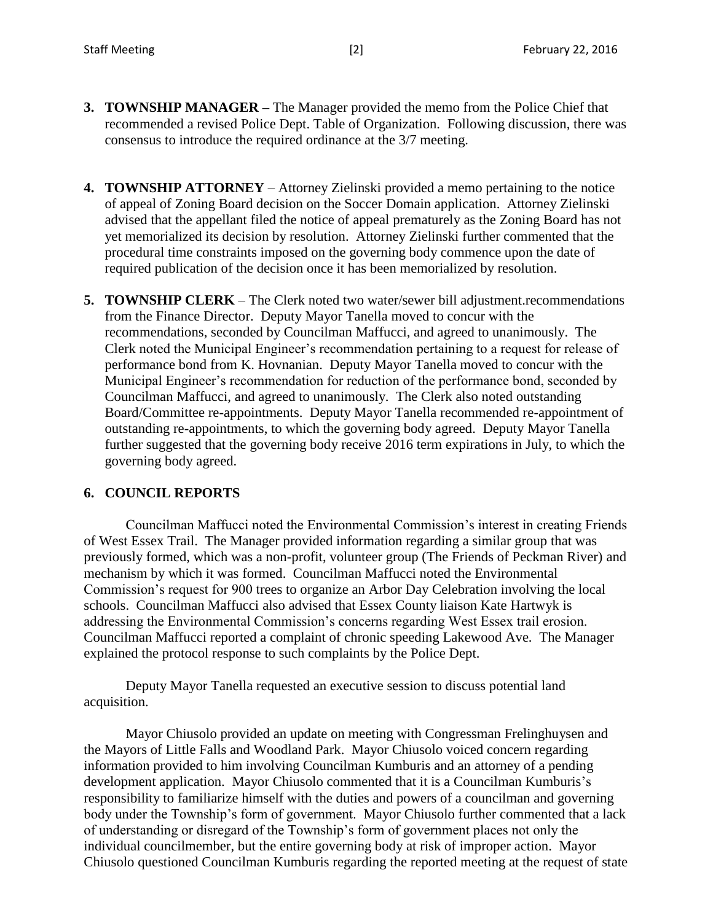- **3. TOWNSHIP MANAGER –** The Manager provided the memo from the Police Chief that recommended a revised Police Dept. Table of Organization. Following discussion, there was consensus to introduce the required ordinance at the 3/7 meeting.
- **4. TOWNSHIP ATTORNEY** Attorney Zielinski provided a memo pertaining to the notice of appeal of Zoning Board decision on the Soccer Domain application. Attorney Zielinski advised that the appellant filed the notice of appeal prematurely as the Zoning Board has not yet memorialized its decision by resolution. Attorney Zielinski further commented that the procedural time constraints imposed on the governing body commence upon the date of required publication of the decision once it has been memorialized by resolution.
- **5. TOWNSHIP CLERK** The Clerk noted two water/sewer bill adjustment.recommendations from the Finance Director. Deputy Mayor Tanella moved to concur with the recommendations, seconded by Councilman Maffucci, and agreed to unanimously. The Clerk noted the Municipal Engineer's recommendation pertaining to a request for release of performance bond from K. Hovnanian. Deputy Mayor Tanella moved to concur with the Municipal Engineer's recommendation for reduction of the performance bond, seconded by Councilman Maffucci, and agreed to unanimously. The Clerk also noted outstanding Board/Committee re-appointments. Deputy Mayor Tanella recommended re-appointment of outstanding re-appointments, to which the governing body agreed. Deputy Mayor Tanella further suggested that the governing body receive 2016 term expirations in July, to which the governing body agreed.

### **6. COUNCIL REPORTS**

Councilman Maffucci noted the Environmental Commission's interest in creating Friends of West Essex Trail. The Manager provided information regarding a similar group that was previously formed, which was a non-profit, volunteer group (The Friends of Peckman River) and mechanism by which it was formed. Councilman Maffucci noted the Environmental Commission's request for 900 trees to organize an Arbor Day Celebration involving the local schools. Councilman Maffucci also advised that Essex County liaison Kate Hartwyk is addressing the Environmental Commission's concerns regarding West Essex trail erosion. Councilman Maffucci reported a complaint of chronic speeding Lakewood Ave. The Manager explained the protocol response to such complaints by the Police Dept.

Deputy Mayor Tanella requested an executive session to discuss potential land acquisition.

Mayor Chiusolo provided an update on meeting with Congressman Frelinghuysen and the Mayors of Little Falls and Woodland Park. Mayor Chiusolo voiced concern regarding information provided to him involving Councilman Kumburis and an attorney of a pending development application. Mayor Chiusolo commented that it is a Councilman Kumburis's responsibility to familiarize himself with the duties and powers of a councilman and governing body under the Township's form of government. Mayor Chiusolo further commented that a lack of understanding or disregard of the Township's form of government places not only the individual councilmember, but the entire governing body at risk of improper action. Mayor Chiusolo questioned Councilman Kumburis regarding the reported meeting at the request of state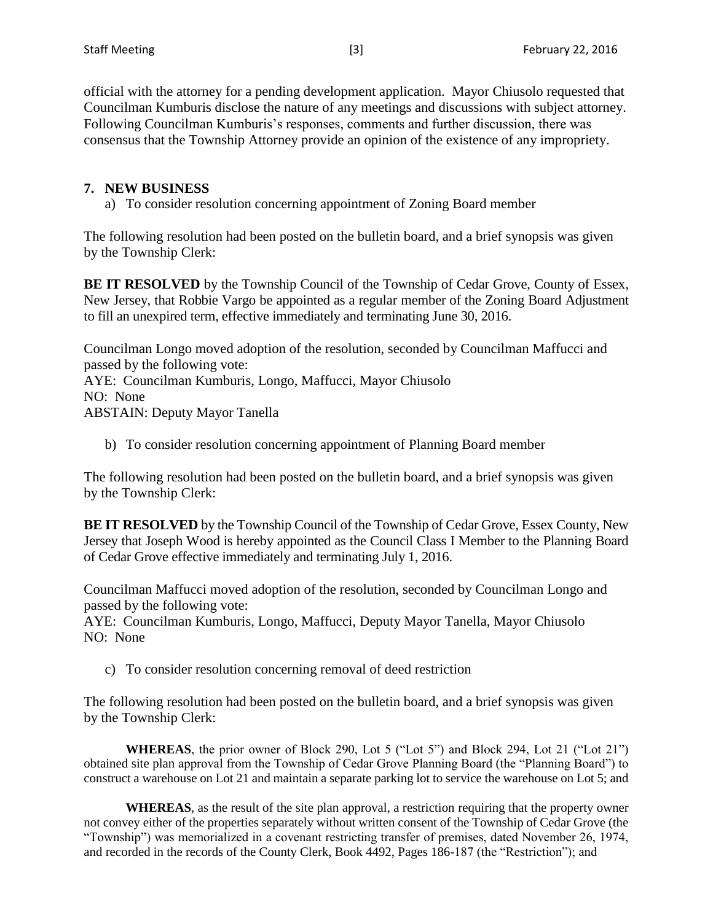official with the attorney for a pending development application. Mayor Chiusolo requested that Councilman Kumburis disclose the nature of any meetings and discussions with subject attorney. Following Councilman Kumburis's responses, comments and further discussion, there was consensus that the Township Attorney provide an opinion of the existence of any impropriety.

### **7. NEW BUSINESS**

a) To consider resolution concerning appointment of Zoning Board member

The following resolution had been posted on the bulletin board, and a brief synopsis was given by the Township Clerk:

**BE IT RESOLVED** by the Township Council of the Township of Cedar Grove, County of Essex, New Jersey, that Robbie Vargo be appointed as a regular member of the Zoning Board Adjustment to fill an unexpired term, effective immediately and terminating June 30, 2016.

Councilman Longo moved adoption of the resolution, seconded by Councilman Maffucci and passed by the following vote: AYE: Councilman Kumburis, Longo, Maffucci, Mayor Chiusolo

NO: None ABSTAIN: Deputy Mayor Tanella

b) To consider resolution concerning appointment of Planning Board member

The following resolution had been posted on the bulletin board, and a brief synopsis was given by the Township Clerk:

**BE IT RESOLVED** by the Township Council of the Township of Cedar Grove, Essex County, New Jersey that Joseph Wood is hereby appointed as the Council Class I Member to the Planning Board of Cedar Grove effective immediately and terminating July 1, 2016.

Councilman Maffucci moved adoption of the resolution, seconded by Councilman Longo and passed by the following vote:

AYE: Councilman Kumburis, Longo, Maffucci, Deputy Mayor Tanella, Mayor Chiusolo NO: None

c) To consider resolution concerning removal of deed restriction

The following resolution had been posted on the bulletin board, and a brief synopsis was given by the Township Clerk:

**WHEREAS**, the prior owner of Block 290, Lot 5 ("Lot 5") and Block 294, Lot 21 ("Lot 21") obtained site plan approval from the Township of Cedar Grove Planning Board (the "Planning Board") to construct a warehouse on Lot 21 and maintain a separate parking lot to service the warehouse on Lot 5; and

**WHEREAS**, as the result of the site plan approval, a restriction requiring that the property owner not convey either of the properties separately without written consent of the Township of Cedar Grove (the "Township") was memorialized in a covenant restricting transfer of premises, dated November 26, 1974, and recorded in the records of the County Clerk, Book 4492, Pages 186-187 (the "Restriction"); and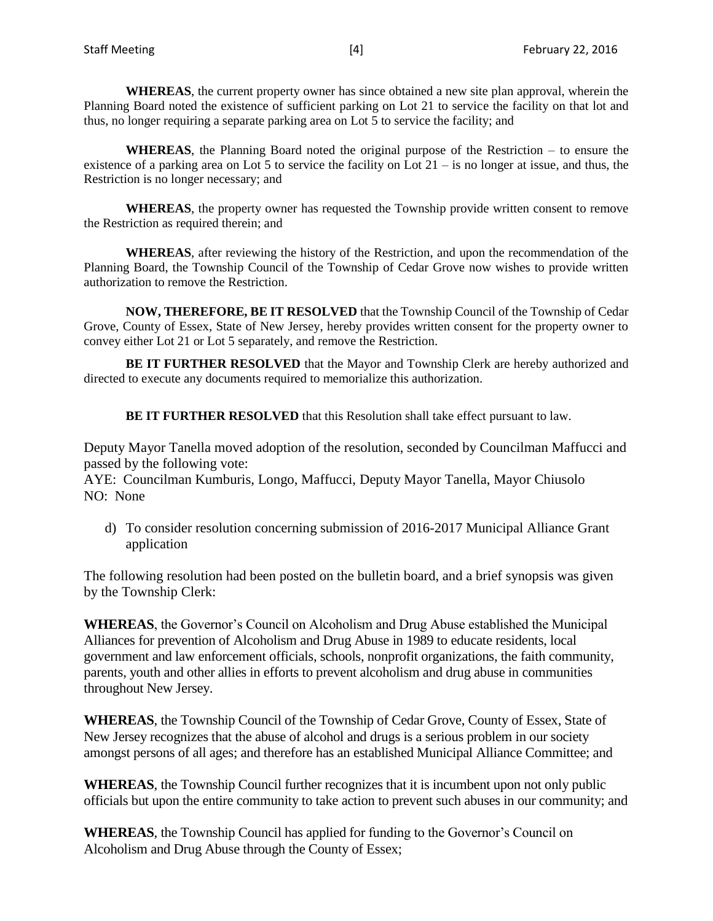**WHEREAS**, the current property owner has since obtained a new site plan approval, wherein the Planning Board noted the existence of sufficient parking on Lot 21 to service the facility on that lot and thus, no longer requiring a separate parking area on Lot 5 to service the facility; and

**WHEREAS**, the Planning Board noted the original purpose of the Restriction – to ensure the existence of a parking area on Lot 5 to service the facility on Lot 21 – is no longer at issue, and thus, the Restriction is no longer necessary; and

**WHEREAS**, the property owner has requested the Township provide written consent to remove the Restriction as required therein; and

**WHEREAS**, after reviewing the history of the Restriction, and upon the recommendation of the Planning Board, the Township Council of the Township of Cedar Grove now wishes to provide written authorization to remove the Restriction.

**NOW, THEREFORE, BE IT RESOLVED** that the Township Council of the Township of Cedar Grove, County of Essex, State of New Jersey, hereby provides written consent for the property owner to convey either Lot 21 or Lot 5 separately, and remove the Restriction.

**BE IT FURTHER RESOLVED** that the Mayor and Township Clerk are hereby authorized and directed to execute any documents required to memorialize this authorization.

**BE IT FURTHER RESOLVED** that this Resolution shall take effect pursuant to law.

Deputy Mayor Tanella moved adoption of the resolution, seconded by Councilman Maffucci and passed by the following vote:

AYE: Councilman Kumburis, Longo, Maffucci, Deputy Mayor Tanella, Mayor Chiusolo NO: None

d) To consider resolution concerning submission of 2016-2017 Municipal Alliance Grant application

The following resolution had been posted on the bulletin board, and a brief synopsis was given by the Township Clerk:

**WHEREAS**, the Governor's Council on Alcoholism and Drug Abuse established the Municipal Alliances for prevention of Alcoholism and Drug Abuse in 1989 to educate residents, local government and law enforcement officials, schools, nonprofit organizations, the faith community, parents, youth and other allies in efforts to prevent alcoholism and drug abuse in communities throughout New Jersey.

**WHEREAS**, the Township Council of the Township of Cedar Grove, County of Essex, State of New Jersey recognizes that the abuse of alcohol and drugs is a serious problem in our society amongst persons of all ages; and therefore has an established Municipal Alliance Committee; and

**WHEREAS**, the Township Council further recognizes that it is incumbent upon not only public officials but upon the entire community to take action to prevent such abuses in our community; and

**WHEREAS**, the Township Council has applied for funding to the Governor's Council on Alcoholism and Drug Abuse through the County of Essex;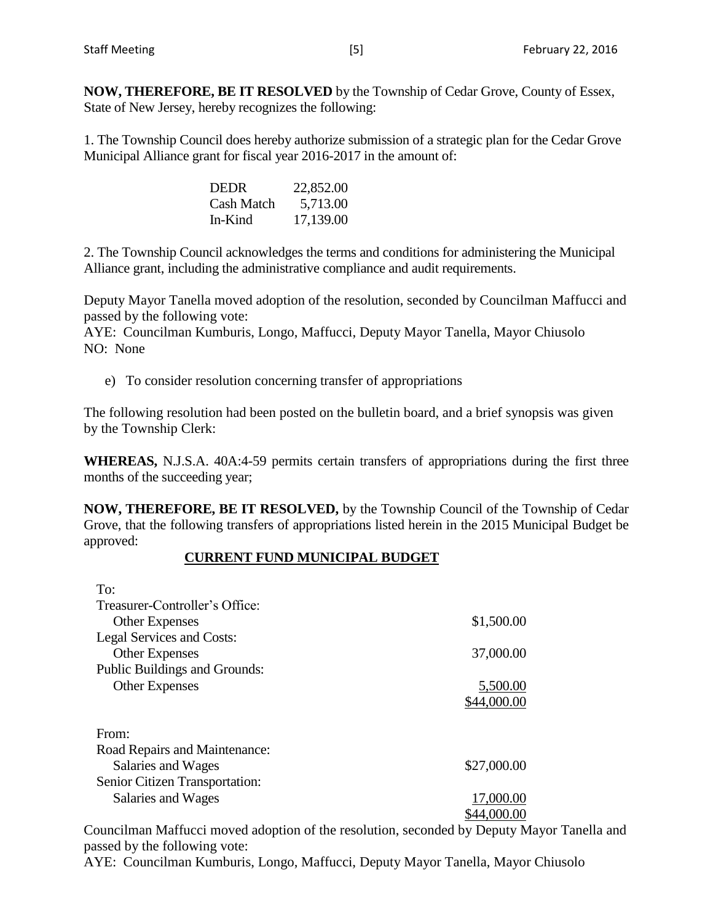1. The Township Council does hereby authorize submission of a strategic plan for the Cedar Grove Municipal Alliance grant for fiscal year 2016-2017 in the amount of:

| <b>DEDR</b>       | 22,852.00 |
|-------------------|-----------|
| <b>Cash Match</b> | 5,713.00  |
| In-Kind           | 17,139.00 |

2. The Township Council acknowledges the terms and conditions for administering the Municipal Alliance grant, including the administrative compliance and audit requirements.

Deputy Mayor Tanella moved adoption of the resolution, seconded by Councilman Maffucci and passed by the following vote:

AYE: Councilman Kumburis, Longo, Maffucci, Deputy Mayor Tanella, Mayor Chiusolo NO: None

e) To consider resolution concerning transfer of appropriations

The following resolution had been posted on the bulletin board, and a brief synopsis was given by the Township Clerk:

**WHEREAS,** N.J.S.A. 40A:4-59 permits certain transfers of appropriations during the first three months of the succeeding year;

**NOW, THEREFORE, BE IT RESOLVED,** by the Township Council of the Township of Cedar Grove, that the following transfers of appropriations listed herein in the 2015 Municipal Budget be approved:

# **CURRENT FUND MUNICIPAL BUDGET**

| To:<br>Treasurer-Controller's Office: |             |
|---------------------------------------|-------------|
| <b>Other Expenses</b>                 | \$1,500.00  |
| <b>Legal Services and Costs:</b>      |             |
| <b>Other Expenses</b>                 | 37,000.00   |
| Public Buildings and Grounds:         |             |
| <b>Other Expenses</b>                 | 5,500.00    |
|                                       | \$44,000.00 |
|                                       |             |
| From:                                 |             |
| Road Repairs and Maintenance:         |             |
| Salaries and Wages                    | \$27,000.00 |
| Senior Citizen Transportation:        |             |
| Salaries and Wages                    | 17,000.00   |
|                                       |             |

Councilman Maffucci moved adoption of the resolution, seconded by Deputy Mayor Tanella and passed by the following vote:

AYE: Councilman Kumburis, Longo, Maffucci, Deputy Mayor Tanella, Mayor Chiusolo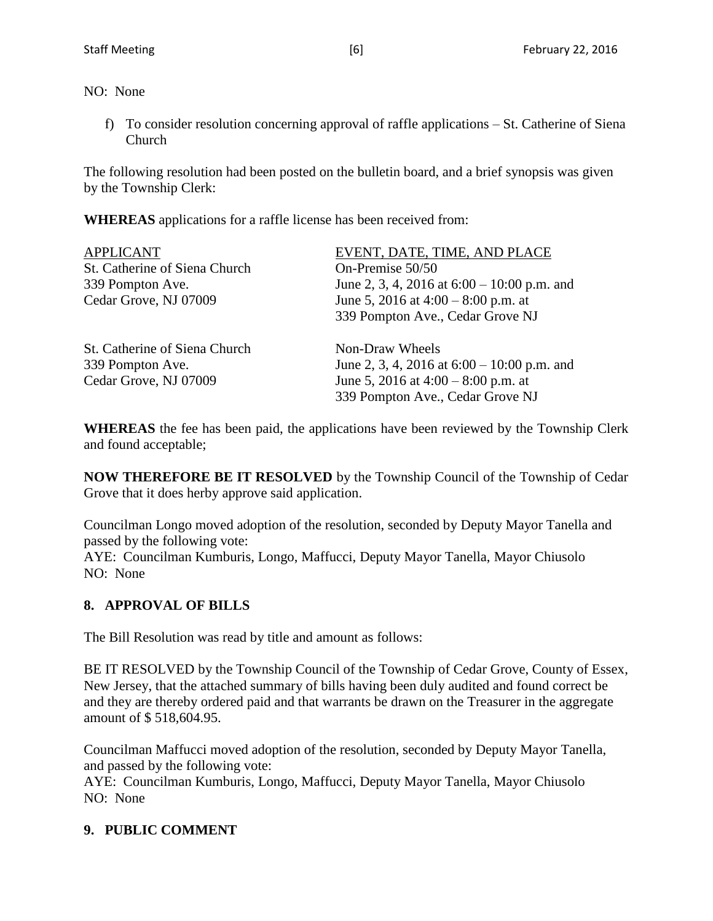NO: None

f) To consider resolution concerning approval of raffle applications – St. Catherine of Siena Church

The following resolution had been posted on the bulletin board, and a brief synopsis was given by the Township Clerk:

**WHEREAS** applications for a raffle license has been received from:

| <b>APPLICANT</b>              | EVENT, DATE, TIME, AND PLACE                  |
|-------------------------------|-----------------------------------------------|
| St. Catherine of Siena Church | On-Premise 50/50                              |
| 339 Pompton Ave.              | June 2, 3, 4, 2016 at $6:00 - 10:00$ p.m. and |
| Cedar Grove, NJ 07009         | June 5, 2016 at $4:00 - 8:00$ p.m. at         |
|                               | 339 Pompton Ave., Cedar Grove NJ              |
| St. Catherine of Siena Church | Non-Draw Wheels                               |
| 339 Pompton Ave.              | June 2, 3, 4, 2016 at $6:00 - 10:00$ p.m. and |
| Cedar Grove, NJ 07009         | June 5, 2016 at $4:00 - 8:00$ p.m. at         |
|                               | 339 Pompton Ave., Cedar Grove NJ              |

**WHEREAS** the fee has been paid, the applications have been reviewed by the Township Clerk and found acceptable;

**NOW THEREFORE BE IT RESOLVED** by the Township Council of the Township of Cedar Grove that it does herby approve said application.

Councilman Longo moved adoption of the resolution, seconded by Deputy Mayor Tanella and passed by the following vote:

AYE: Councilman Kumburis, Longo, Maffucci, Deputy Mayor Tanella, Mayor Chiusolo NO: None

# **8. APPROVAL OF BILLS**

The Bill Resolution was read by title and amount as follows:

BE IT RESOLVED by the Township Council of the Township of Cedar Grove, County of Essex, New Jersey, that the attached summary of bills having been duly audited and found correct be and they are thereby ordered paid and that warrants be drawn on the Treasurer in the aggregate amount of \$ 518,604.95.

Councilman Maffucci moved adoption of the resolution, seconded by Deputy Mayor Tanella, and passed by the following vote:

AYE: Councilman Kumburis, Longo, Maffucci, Deputy Mayor Tanella, Mayor Chiusolo NO: None

# **9. PUBLIC COMMENT**